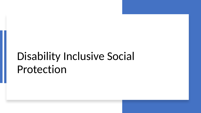# Disability Inclusive Social Protection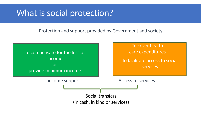## What is social protection?

Protection and support provided by Government and society

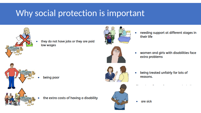## Why social protection is important



they do not have jobs or they are paid low wages



needing support at different stages in their life



women and girls with disabilities face extra problems



being poor



being treated unfairly for lots of reasons.

the extra costs of having a disability



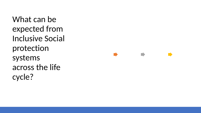What can be expected from Inclusive Social protection systems across the life cycle?

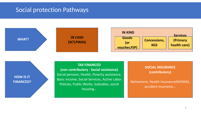### Social protection Pathways



**HOW IS IT FINANCED?** **TAX FINANCED** 

**(non contributory - Social assistance)** Social pension, Health, Poverty assistance, Basic income, Social Services, Active Labor Policies, Public Works, Subsidies, social housing…

**SOCIAL INSURANCE (contributory)**

Retirement, Health Insurance(NHIMA), accident insurance…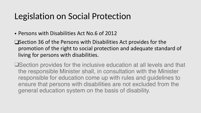## Legislation on Social Protection

- Persons with Disabilities Act No.6 of 2012
- ❑Section 36 of the Persons with Disabilities Act provides for the promotion of the right to social protection and adequate standard of living for persons with disabilities.
- ❑Section provides for the inclusive education at all levels and that the responsible Minister shall, in consultation with the Minister responsible for education come up with rules and guidelines to ensure that persons with disabilities are not excluded from the general education system on the basis of disability.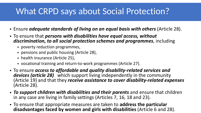## What CRPD says about Social Protection?

- Ensure *adequate standards of living on an equal basis with others* (Article 28).
- To ensure that *persons with disabilities have equal access, without discrimination, to all social protection schemes and programmes*, including
	- poverty reduction programmes,
	- pensions and public housing (Article 28),
	- health insurance (Article 25),
	- vocational training and return-to-work programmes (Article 27).
- To ensure *access to affordable and quality disability-related services and devices (article 28)* which support living independently in the community (Article 19) and that they *receive assistance to cover disability-related expenses* (Article 28).
- *To support children with disabilities and their parents* and ensure that children in any case are living in family settings (Articles 7, 16, 18 and 23).
- To ensure that appropriate measures are taken to **address the particular disadvantages faced by women and girls with disabilities** (Article 6 and 28).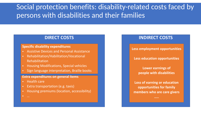### Social protection benefits: disability-related costs faced by persons with disabilities and their families

#### **DIRECT COSTS**

#### **Specific disability expenditures**

- Assistive Devices and Personal Assistance
- Rehabilitation/Habilitation/Vocational Rehabilitation
- Housing Modifications, Special vehicles
- Sign language interpretation, Braille books

#### **Extra expenditures on general items**

- Health care
- Extra transportation (e.g. taxis)
- Housing premiums (location, accessibility)

### **INDIRECT COSTS**

**Less employment opportunities** 

**Less education opportunities** 

**Lower earnings of people with disabilities**

**Loss of earning or education opportunities for family members who are care givers**

**…..**

• …